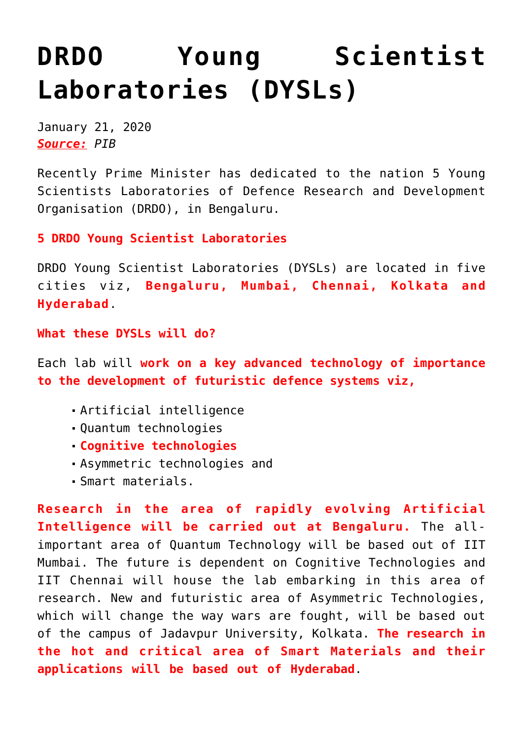## **[DRDO Young Scientist](https://journalsofindia.com/drdo-young-scientist-laboratories-dysls/) [Laboratories \(DYSLs\)](https://journalsofindia.com/drdo-young-scientist-laboratories-dysls/)**

January 21, 2020 *Source: PIB*

Recently Prime Minister has dedicated to the nation 5 Young Scientists Laboratories of Defence Research and Development Organisation (DRDO), in Bengaluru.

**5 DRDO Young Scientist Laboratories**

DRDO Young Scientist Laboratories (DYSLs) are located in five cities viz, **Bengaluru, Mumbai, Chennai, Kolkata and Hyderabad**.

**What these DYSLs will do?**

Each lab will **work on a key advanced technology of importance to the development of futuristic defence systems viz,** 

- Artificial intelligence
- Quantum technologies
- **Cognitive technologies**
- Asymmetric technologies and
- Smart materials.

**Research in the area of rapidly evolving Artificial Intelligence will be carried out at Bengaluru.** The allimportant area of Quantum Technology will be based out of IIT Mumbai. The future is dependent on Cognitive Technologies and IIT Chennai will house the lab embarking in this area of research. New and futuristic area of Asymmetric Technologies, which will change the way wars are fought, will be based out of the campus of Jadavpur University, Kolkata. **The research in the hot and critical area of Smart Materials and their applications will be based out of Hyderabad**.